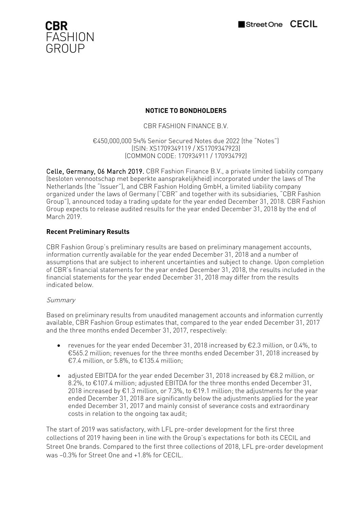



# **NOTICE TO BONDHOLDERS**

CBR FASHION FINANCE B.V.

€450,000,000 5⅛% Senior Secured Notes due 2022 (the "Notes") (ISIN: XS1709349119 / XS1709347923) (COMMON CODE: 170934911 / 170934792)

Celle, Germany, 06 March 2019. CBR Fashion Finance B.V., a private limited liability company (besloten vennootschap met beperkte aansprakelijkheid) incorporated under the laws of The Netherlands (the "Issuer"), and CBR Fashion Holding GmbH, a limited liability company organized under the laws of Germany ("CBR" and together with its subsidiaries, "CBR Fashion Group"), announced today a trading update for the year ended December 31, 2018. CBR Fashion Group expects to release audited results for the year ended December 31, 2018 by the end of March 2019.

# **Recent Preliminary Results**

CBR Fashion Group's preliminary results are based on preliminary management accounts, information currently available for the year ended December 31, 2018 and a number of assumptions that are subject to inherent uncertainties and subject to change. Upon completion of CBR's financial statements for the year ended December 31, 2018, the results included in the financial statements for the year ended December 31, 2018 may differ from the results indicated below.

### Summary

Based on preliminary results from unaudited management accounts and information currently available, CBR Fashion Group estimates that, compared to the year ended December 31, 2017 and the three months ended December 31, 2017, respectively:

- revenues for the year ended December 31, 2018 increased by  $E2.3$  million, or 0.4%, to €565.2 million; revenues for the three months ended December 31, 2018 increased by €7.4 million, or 5.8%, to €135.4 million;
- adjusted EBITDA for the year ended December 31, 2018 increased by  $E$ 8.2 million, or 8.2%, to €107.4 million; adjusted EBITDA for the three months ended December 31, 2018 increased by €1.3 million, or 7.3%, to €19.1 million; the adjustments for the year ended December 31, 2018 are significantly below the adjustments applied for the year ended December 31, 2017 and mainly consist of severance costs and extraordinary costs in relation to the ongoing tax audit;

The start of 2019 was satisfactory, with LFL pre-order development for the first three collections of 2019 having been in line with the Group's expectations for both its CECIL and Street One brands. Compared to the first three collections of 2018, LFL pre-order development was –0.3% for Street One and +1.8% for CECIL.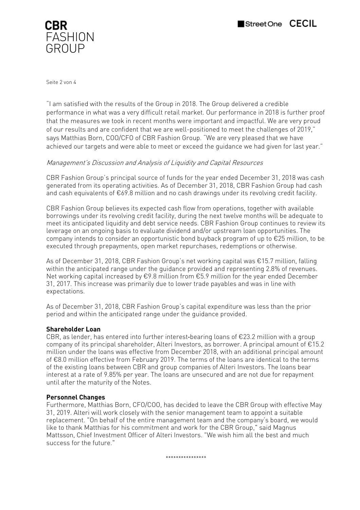

Seite 2 von 4

"I am satisfied with the results of the Group in 2018. The Group delivered a credible performance in what was a very difficult retail market. Our performance in 2018 is further proof that the measures we took in recent months were important and impactful. We are very proud of our results and are confident that we are well-positioned to meet the challenges of 2019," says Matthias Born, COO/CFO of CBR Fashion Group. "We are very pleased that we have achieved our targets and were able to meet or exceed the guidance we had given for last year."

## Management's Discussion and Analysis of Liquidity and Capital Resources

CBR Fashion Group's principal source of funds for the year ended December 31, 2018 was cash generated from its operating activities. As of December 31, 2018, CBR Fashion Group had cash and cash equivalents of €69.8 million and no cash drawings under its revolving credit facility.

CBR Fashion Group believes its expected cash flow from operations, together with available borrowings under its revolving credit facility, during the next twelve months will be adequate to meet its anticipated liquidity and debt service needs. CBR Fashion Group continues to review its leverage on an ongoing basis to evaluate dividend and/or upstream loan opportunities. The company intends to consider an opportunistic bond buyback program of up to  $\epsilon$ 25 million, to be executed through prepayments, open market repurchases, redemptions or otherwise.

As of December 31, 2018, CBR Fashion Group's net working capital was €15.7 million, falling within the anticipated range under the guidance provided and representing 2.8% of revenues. Net working capital increased by €9.8 million from €5.9 million for the year ended December 31, 2017. This increase was primarily due to lower trade payables and was in line with expectations.

As of December 31, 2018, CBR Fashion Group's capital expenditure was less than the prior period and within the anticipated range under the guidance provided.

### **Shareholder Loan**

CBR, as lender, has entered into further interest-bearing loans of  $\epsilon$ 23.2 million with a group company of its principal shareholder, Alteri Investors, as borrower. A principal amount of €15.2 million under the loans was effective from December 2018, with an additional principal amount of €8.0 million effective from February 2019. The terms of the loans are identical to the terms of the existing loans between CBR and group companies of Alteri Investors. The loans bear interest at a rate of 9.85% per year. The loans are unsecured and are not due for repayment until after the maturity of the Notes.

## **Personnel Changes**

Furthermore, Matthias Born, CFO/COO, has decided to leave the CBR Group with effective May 31, 2019. Alteri will work closely with the senior management team to appoint a suitable replacement. "On behalf of the entire management team and the company's board, we would like to thank Matthias for his commitment and work for the CBR Group," said Magnus Mattsson, Chief Investment Officer of Alteri Investors. "We wish him all the best and much success for the future."

\*\*\*\*\*\*\*\*\*\*\*\*\*\*\*\*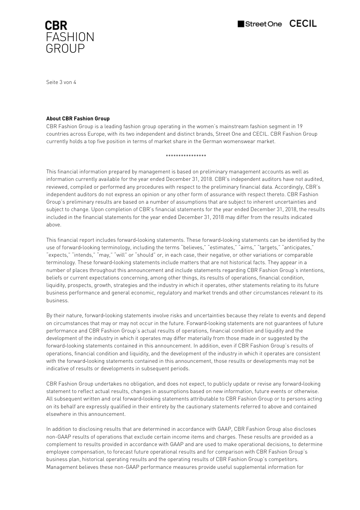

Seite 3 von 4

#### **About CBR Fashion Group**

CBR Fashion Group is a leading fashion group operating in the women's mainstream fashion segment in 19 countries across Europe, with its two independent and distinct brands, Street One and CECIL. CBR Fashion Group currently holds a top five position in terms of market share in the German womenswear market.

\*\*\*\*\*\*\*\*\*\*\*\*\*\*\*\*

This financial information prepared by management is based on preliminary management accounts as well as information currently available for the year ended December 31, 2018. CBR's independent auditors have not audited, reviewed, compiled or performed any procedures with respect to the preliminary financial data. Accordingly, CBR's independent auditors do not express an opinion or any other form of assurance with respect thereto. CBR Fashion Group's preliminary results are based on a number of assumptions that are subject to inherent uncertainties and subject to change. Upon completion of CBR's financial statements for the year ended December 31, 2018, the results included in the financial statements for the year ended December 31, 2018 may differ from the results indicated above.

This financial report includes forward‐looking statements. These forward‐looking statements can be identified by the use of forward-looking terminology, including the terms "believes," "estimates," "aims," "targets," "anticipates," "expects," "intends," "may," "will" or "should" or, in each case, their negative, or other variations or comparable terminology. These forward‐looking statements include matters that are not historical facts. They appear in a number of places throughout this announcement and include statements regarding CBR Fashion Group's intentions, beliefs or current expectations concerning, among other things, its results of operations, financial condition, liquidity, prospects, growth, strategies and the industry in which it operates, other statements relating to its future business performance and general economic, regulatory and market trends and other circumstances relevant to its business.

By their nature, forward‐looking statements involve risks and uncertainties because they relate to events and depend on circumstances that may or may not occur in the future. Forward‐looking statements are not guarantees of future performance and CBR Fashion Group's actual results of operations, financial condition and liquidity and the development of the industry in which it operates may differ materially from those made in or suggested by the forward‐looking statements contained in this announcement. In addition, even if CBR Fashion Group's results of operations, financial condition and liquidity, and the development of the industry in which it operates are consistent with the forward‐looking statements contained in this announcement, those results or developments may not be indicative of results or developments in subsequent periods.

CBR Fashion Group undertakes no obligation, and does not expect, to publicly update or revise any forward‐looking statement to reflect actual results, changes in assumptions based on new information, future events or otherwise. All subsequent written and oral forward‐looking statements attributable to CBR Fashion Group or to persons acting on its behalf are expressly qualified in their entirety by the cautionary statements referred to above and contained elsewhere in this announcement.

In addition to disclosing results that are determined in accordance with GAAP, CBR Fashion Group also discloses non-GAAP results of operations that exclude certain income items and charges. These results are provided as a complement to results provided in accordance with GAAP and are used to make operational decisions, to determine employee compensation, to forecast future operational results and for comparison with CBR Fashion Group's business plan, historical operating results and the operating results of CBR Fashion Group's competitors. Management believes these non-GAAP performance measures provide useful supplemental information for